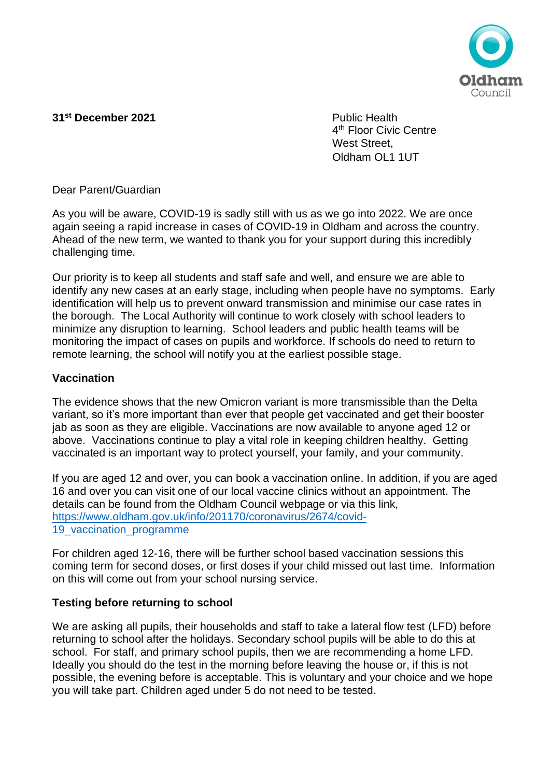

## **31<sup>st</sup> December 2021** Public Health

4<sup>th</sup> Floor Civic Centre West Street Oldham OL1 1UT

Dear Parent/Guardian

As you will be aware, COVID-19 is sadly still with us as we go into 2022. We are once again seeing a rapid increase in cases of COVID-19 in Oldham and across the country. Ahead of the new term, we wanted to thank you for your support during this incredibly challenging time.

Our priority is to keep all students and staff safe and well, and ensure we are able to identify any new cases at an early stage, including when people have no symptoms. Early identification will help us to prevent onward transmission and minimise our case rates in the borough. The Local Authority will continue to work closely with school leaders to minimize any disruption to learning. School leaders and public health teams will be monitoring the impact of cases on pupils and workforce. If schools do need to return to remote learning, the school will notify you at the earliest possible stage.

### **Vaccination**

The evidence shows that the new Omicron variant is more transmissible than the Delta variant, so it's more important than ever that people get vaccinated and get their booster jab as soon as they are eligible. Vaccinations are now available to anyone aged 12 or above. Vaccinations continue to play a vital role in keeping children healthy. Getting vaccinated is an important way to protect yourself, your family, and your community.

If you are aged 12 and over, you can book a vaccination online. In addition, if you are aged 16 and over you can visit one of our local vaccine clinics without an appointment. The details can be found from the Oldham Council webpage or via this link, [https://www.oldham.gov.uk/info/201170/coronavirus/2674/covid-](https://www.oldham.gov.uk/info/201170/coronavirus/2674/covid-19_vaccination_programme)[19\\_vaccination\\_programme](https://www.oldham.gov.uk/info/201170/coronavirus/2674/covid-19_vaccination_programme)

For children aged 12-16, there will be further school based vaccination sessions this coming term for second doses, or first doses if your child missed out last time. Information on this will come out from your school nursing service.

## **Testing before returning to school**

We are asking all pupils, their households and staff to take a lateral flow test (LFD) before returning to school after the holidays. Secondary school pupils will be able to do this at school. For staff, and primary school pupils, then we are recommending a home LFD. Ideally you should do the test in the morning before leaving the house or, if this is not possible, the evening before is acceptable. This is voluntary and your choice and we hope you will take part. Children aged under 5 do not need to be tested.